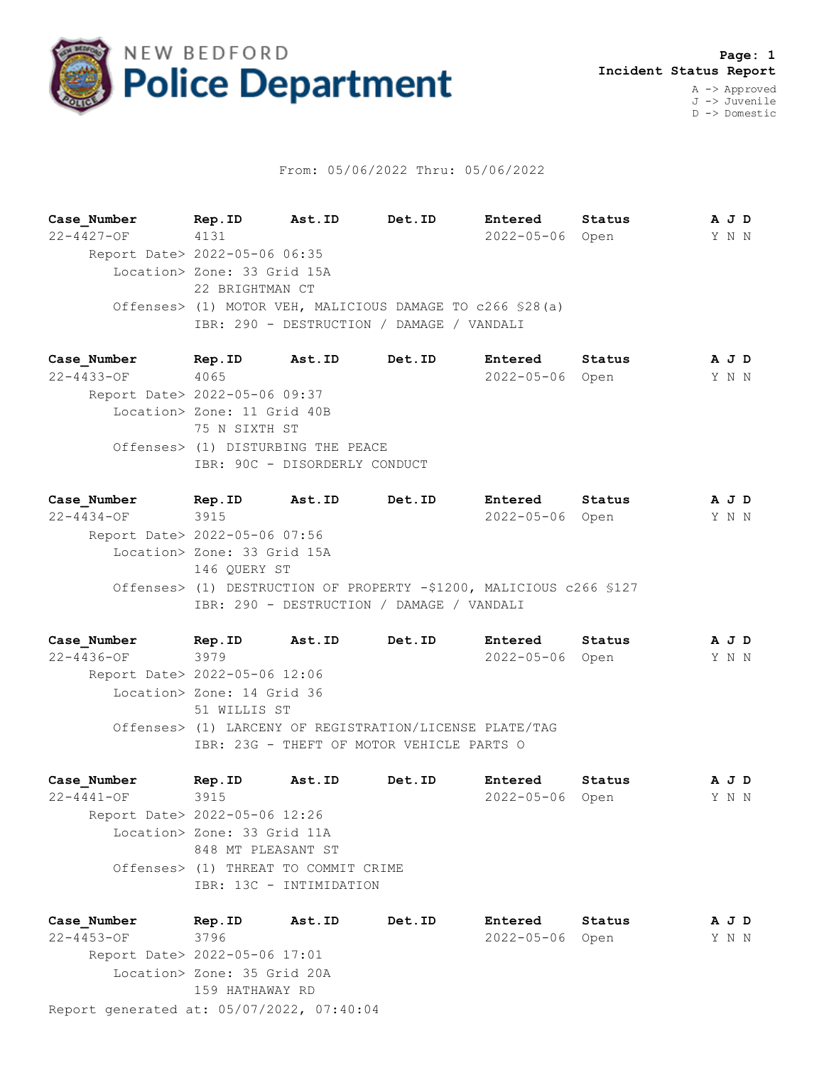

## From: 05/06/2022 Thru: 05/06/2022

**Case\_Number Rep.ID Ast.ID Det.ID Entered Status A J D** 22-4427-OF 4131 2022-05-06 Open Y N N Report Date> 2022-05-06 06:35 Location> Zone: 33 Grid 15A 22 BRIGHTMAN CT Offenses> (1) MOTOR VEH, MALICIOUS DAMAGE TO c266 §28(a) IBR: 290 - DESTRUCTION / DAMAGE / VANDALI

**Case\_Number Rep.ID Ast.ID Det.ID Entered Status A J D** 22-4433-OF 4065 2022-05-06 Open Y N N Report Date> 2022-05-06 09:37 Location> Zone: 11 Grid 40B 75 N SIXTH ST Offenses> (1) DISTURBING THE PEACE IBR: 90C - DISORDERLY CONDUCT

**Case\_Number Rep.ID Ast.ID Det.ID Entered Status A J D** 22-4434-OF 3915 2022-05-06 Open Y N N Report Date> 2022-05-06 07:56 Location> Zone: 33 Grid 15A 146 QUERY ST Offenses> (1) DESTRUCTION OF PROPERTY -\$1200, MALICIOUS c266 §127 IBR: 290 - DESTRUCTION / DAMAGE / VANDALI

**Case\_Number Rep.ID Ast.ID Det.ID Entered Status A J D** 22-4436-OF 3979 2022-05-06 Open Y N N Report Date> 2022-05-06 12:06 Location> Zone: 14 Grid 36 51 WILLIS ST Offenses> (1) LARCENY OF REGISTRATION/LICENSE PLATE/TAG IBR: 23G - THEFT OF MOTOR VEHICLE PARTS O

**Case\_Number Rep.ID Ast.ID Det.ID Entered Status A J D** 22-4441-OF 3915 2022-05-06 Open Y N N Report Date> 2022-05-06 12:26 Location> Zone: 33 Grid 11A 848 MT PLEASANT ST Offenses> (1) THREAT TO COMMIT CRIME IBR: 13C - INTIMIDATION

Report generated at: 05/07/2022, 07:40:04 **Case\_Number Rep.ID Ast.ID Det.ID Entered Status A J D** 22-4453-OF 3796 2022-05-06 Open Y N N Report Date> 2022-05-06 17:01 Location> Zone: 35 Grid 20A 159 HATHAWAY RD